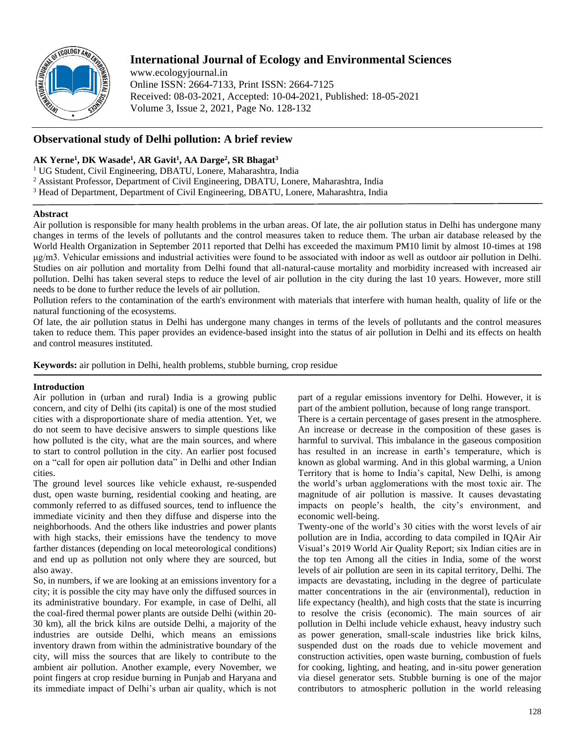

# **International Journal of Ecology and Environmental Sciences**

www.ecologyjournal.in Online ISSN: 2664-7133, Print ISSN: 2664-7125 Received: 08-03-2021, Accepted: 10-04-2021, Published: 18-05-2021 Volume 3, Issue 2, 2021, Page No. 128-132

# **Observational study of Delhi pollution: A brief review**

## **AK Yerne<sup>1</sup> , DK Wasade<sup>1</sup> , AR Gavit<sup>1</sup> , AA Darge<sup>2</sup> , SR Bhagat<sup>3</sup>**

<sup>1</sup> UG Student, Civil Engineering, DBATU, Lonere, Maharashtra, India

<sup>2</sup> Assistant Professor, Department of Civil Engineering, DBATU, Lonere, Maharashtra, India

<sup>3</sup> Head of Department, Department of Civil Engineering, DBATU, Lonere, Maharashtra, India

## **Abstract**

Air pollution is responsible for many health problems in the urban areas. Of late, the air pollution status in Delhi has undergone many changes in terms of the levels of pollutants and the control measures taken to reduce them. The urban air database released by the World Health Organization in September 2011 reported that Delhi has exceeded the maximum PM10 limit by almost 10-times at 198 μg/m3. Vehicular emissions and industrial activities were found to be associated with indoor as well as outdoor air pollution in Delhi. Studies on air pollution and mortality from Delhi found that all-natural-cause mortality and morbidity increased with increased air pollution. Delhi has taken several steps to reduce the level of air pollution in the city during the last 10 years. However, more still needs to be done to further reduce the levels of air pollution.

Pollution refers to the contamination of the earth's environment with materials that interfere with human health, quality of life or the natural functioning of the ecosystems.

Of late, the air pollution status in Delhi has undergone many changes in terms of the levels of pollutants and the control measures taken to reduce them. This paper provides an evidence-based insight into the status of air pollution in Delhi and its effects on health and control measures instituted.

**Keywords:** air pollution in Delhi, health problems, stubble burning, crop residue

## **Introduction**

Air pollution in (urban and rural) India is a growing public concern, and city of Delhi (its capital) is one of the most studied cities with a disproportionate share of media attention. Yet, we do not seem to have decisive answers to simple questions like how polluted is the city, what are the main sources, and where to start to control pollution in the city. An earlier post focused on a "call for open air pollution data" in Delhi and other Indian cities.

The ground level sources like vehicle exhaust, re-suspended dust, open waste burning, residential cooking and heating, are commonly referred to as diffused sources, tend to influence the immediate vicinity and then they diffuse and disperse into the neighborhoods. And the others like industries and power plants with high stacks, their emissions have the tendency to move farther distances (depending on local meteorological conditions) and end up as pollution not only where they are sourced, but also away.

So, in numbers, if we are looking at an emissions inventory for a city; it is possible the city may have only the diffused sources in its administrative boundary. For example, in case of Delhi, all the coal-fired thermal power plants are outside Delhi (within 20- 30 km), all the brick kilns are outside Delhi, a majority of the industries are outside Delhi, which means an emissions inventory drawn from within the administrative boundary of the city, will miss the sources that are likely to contribute to the ambient air pollution. Another example, every November, we point fingers at crop residue burning in Punjab and Haryana and its immediate impact of Delhi's urban air quality, which is not

part of a regular emissions inventory for Delhi. However, it is part of the ambient pollution, because of long range transport.

There is a certain percentage of gases present in the atmosphere. An increase or decrease in the composition of these gases is harmful to survival. This imbalance in the gaseous composition has resulted in an increase in earth's temperature, which is known as global warming. And in this global warming, a Union Territory that is home to India's capital, New Delhi, is among the world's urban agglomerations with the most toxic air. The magnitude of air pollution is massive. It causes devastating impacts on people's health, the city's environment, and economic well-being.

Twenty-one of the world's 30 cities with the worst levels of air pollution are in India, according to data compiled in IQAir Air Visual's 2019 World Air Quality Report; six Indian cities are in the top ten Among all the cities in India, some of the worst levels of air pollution are seen in its capital territory, Delhi. The impacts are devastating, including in the degree of particulate matter concentrations in the air (environmental), reduction in life expectancy (health), and high costs that the state is incurring to resolve the crisis (economic). The main sources of air pollution in Delhi include vehicle exhaust, heavy industry such as power generation, small-scale industries like brick kilns, suspended dust on the roads due to vehicle movement and construction activities, open waste burning, combustion of fuels for cooking, lighting, and heating, and in-situ power generation via diesel generator sets. Stubble burning is one of the major contributors to atmospheric pollution in the world releasing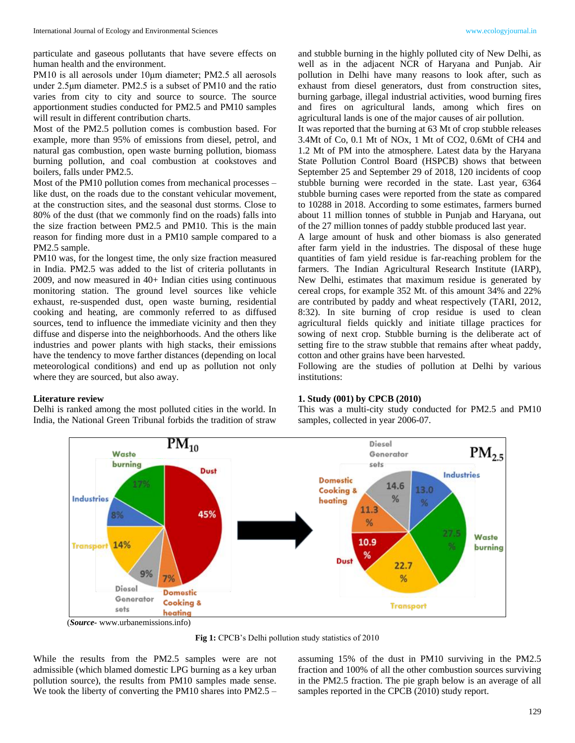particulate and gaseous pollutants that have severe effects on human health and the environment.

PM10 is all aerosols under 10μm diameter; PM2.5 all aerosols under 2.5μm diameter. PM2.5 is a subset of PM10 and the ratio varies from city to city and source to source. The source apportionment studies conducted for PM2.5 and PM10 samples will result in different contribution charts.

Most of the PM2.5 pollution comes is combustion based. For example, more than 95% of emissions from diesel, petrol, and natural gas combustion, open waste burning pollution, biomass burning pollution, and coal combustion at cookstoves and boilers, falls under PM2.5.

Most of the PM10 pollution comes from mechanical processes – like dust, on the roads due to the constant vehicular movement, at the construction sites, and the seasonal dust storms. Close to 80% of the dust (that we commonly find on the roads) falls into the size fraction between PM2.5 and PM10. This is the main reason for finding more dust in a PM10 sample compared to a PM2.5 sample.

PM10 was, for the longest time, the only size fraction measured in India. PM2.5 was added to the list of criteria pollutants in 2009, and now measured in 40+ Indian cities using continuous monitoring station. The ground level sources like vehicle exhaust, re-suspended dust, open waste burning, residential cooking and heating, are commonly referred to as diffused sources, tend to influence the immediate vicinity and then they diffuse and disperse into the neighborhoods. And the others like industries and power plants with high stacks, their emissions have the tendency to move farther distances (depending on local meteorological conditions) and end up as pollution not only where they are sourced, but also away.

#### **Literature review**

Delhi is ranked among the most polluted cities in the world. In India, the National Green Tribunal forbids the tradition of straw

and stubble burning in the highly polluted city of New Delhi, as well as in the adjacent NCR of Haryana and Punjab. Air pollution in Delhi have many reasons to look after, such as exhaust from diesel generators, dust from construction sites, burning garbage, illegal industrial activities, wood burning fires and fires on agricultural lands, among which fires on agricultural lands is one of the major causes of air pollution.

It was reported that the burning at 63 Mt of crop stubble releases 3.4Mt of Co, 0.1 Mt of NOx, 1 Mt of CO2, 0.6Mt of CH4 and 1.2 Mt of PM into the atmosphere. Latest data by the Haryana State Pollution Control Board (HSPCB) shows that between September 25 and September 29 of 2018, 120 incidents of coop stubble burning were recorded in the state. Last year, 6364 stubble burning cases were reported from the state as compared to 10288 in 2018. According to some estimates, farmers burned about 11 million tonnes of stubble in Punjab and Haryana, out of the 27 million tonnes of paddy stubble produced last year.

A large amount of husk and other biomass is also generated after farm yield in the industries. The disposal of these huge quantities of fam yield residue is far-reaching problem for the farmers. The Indian Agricultural Research Institute (IARP), New Delhi, estimates that maximum residue is generated by cereal crops, for example 352 Mt. of this amount 34% and 22% are contributed by paddy and wheat respectively (TARI, 2012, 8:32). In site burning of crop residue is used to clean agricultural fields quickly and initiate tillage practices for sowing of next crop. Stubble burning is the deliberate act of setting fire to the straw stubble that remains after wheat paddy, cotton and other grains have been harvested.

Following are the studies of pollution at Delhi by various institutions:

#### **1. Study (001) by CPCB (2010)**

This was a multi-city study conducted for PM2.5 and PM10 samples, collected in year 2006-07.



(*Source-* www.urbanemissions.info)

**Fig 1:** CPCB's Delhi pollution study statistics of 2010

While the results from the PM2.5 samples were are not admissible (which blamed domestic LPG burning as a key urban pollution source), the results from PM10 samples made sense. We took the liberty of converting the PM10 shares into PM2.5 –

assuming 15% of the dust in PM10 surviving in the PM2.5 fraction and 100% of all the other combustion sources surviving in the PM2.5 fraction. The pie graph below is an average of all samples reported in the CPCB (2010) study report.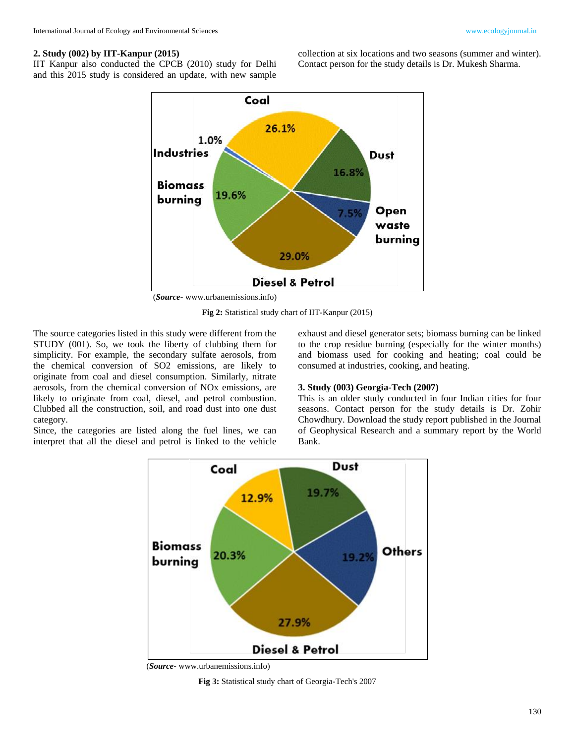## **2. Study (002) by IIT-Kanpur (2015)**

IIT Kanpur also conducted the CPCB (2010) study for Delhi and this 2015 study is considered an update, with new sample collection at six locations and two seasons (summer and winter). Contact person for the study details is Dr. Mukesh Sharma.



(*Source-* www.urbanemissions.info)

**Fig 2:** Statistical study chart of IIT-Kanpur (2015)

The source categories listed in this study were different from the STUDY (001). So, we took the liberty of clubbing them for simplicity. For example, the secondary sulfate aerosols, from the chemical conversion of SO2 emissions, are likely to originate from coal and diesel consumption. Similarly, nitrate aerosols, from the chemical conversion of NOx emissions, are likely to originate from coal, diesel, and petrol combustion. Clubbed all the construction, soil, and road dust into one dust category.

Since, the categories are listed along the fuel lines, we can interpret that all the diesel and petrol is linked to the vehicle exhaust and diesel generator sets; biomass burning can be linked to the crop residue burning (especially for the winter months) and biomass used for cooking and heating; coal could be consumed at industries, cooking, and heating.

## **3. Study (003) Georgia-Tech (2007)**

This is an older study conducted in four Indian cities for four seasons. Contact person for the study details is Dr. Zohir Chowdhury. Download the study report published in the Journal of Geophysical Research and a summary report by the World Bank.



(*Source-* www.urbanemissions.info)

**Fig 3:** Statistical study chart of Georgia-Tech's 2007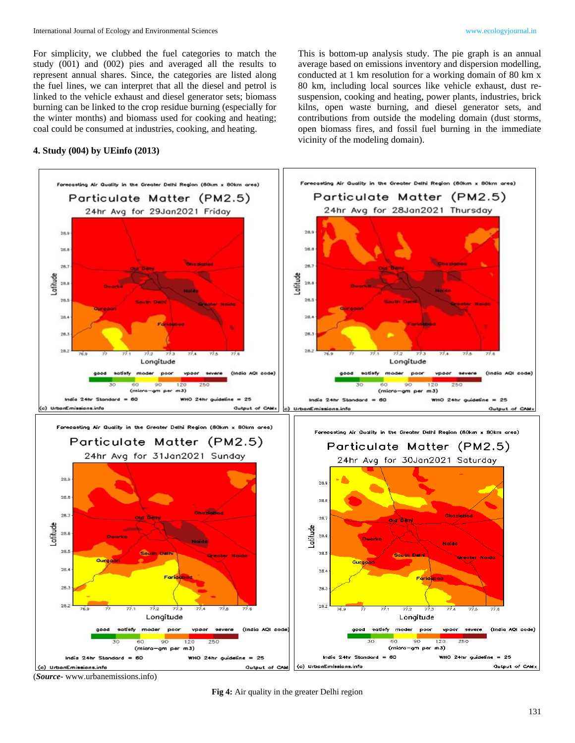For simplicity, we clubbed the fuel categories to match the study (001) and (002) pies and averaged all the results to represent annual shares. Since, the categories are listed along the fuel lines, we can interpret that all the diesel and petrol is linked to the vehicle exhaust and diesel generator sets; biomass burning can be linked to the crop residue burning (especially for the winter months) and biomass used for cooking and heating; coal could be consumed at industries, cooking, and heating.

### **4. Study (004) by UEinfo (2013)**

This is bottom-up analysis study. The pie graph is an annual average based on emissions inventory and dispersion modelling, conducted at 1 km resolution for a working domain of 80 km x 80 km, including local sources like vehicle exhaust, dust resuspension, cooking and heating, power plants, industries, brick kilns, open waste burning, and diesel generator sets, and contributions from outside the modeling domain (dust storms, open biomass fires, and fossil fuel burning in the immediate vicinity of the modeling domain).



(*Source-* www.urbanemissions.info)

**Fig 4:** Air quality in the greater Delhi region